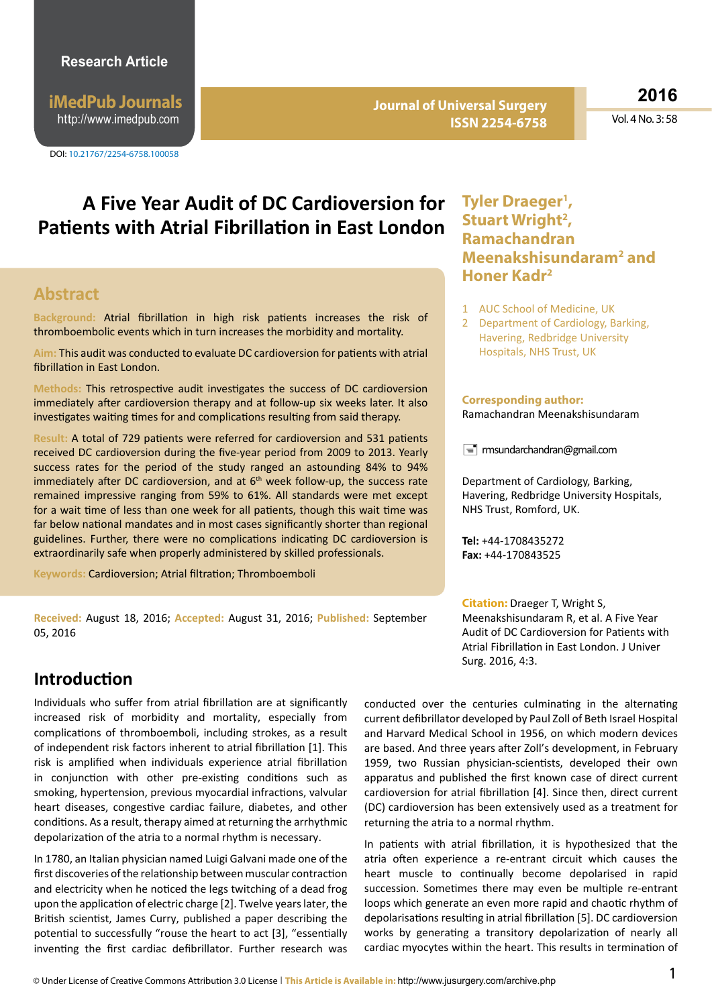**iMedPub Journals** http://www.imedpub.com

DOI: 10.21767/2254-6758.100058

**Journal of Universal Surgery ISSN 2254-6758** **2016**

Vol. 4 No. 3: 58

# **A Five Year Audit of DC Cardioversion for Patients with Atrial Fibrillation in East London**

#### **Abstract**

**Background:** Atrial fibrillation in high risk patients increases the risk of thromboembolic events which in turn increases the morbidity and mortality.

**Aim:** This audit was conducted to evaluate DC cardioversion for patients with atrial fibrillation in East London.

**Methods:** This retrospective audit investigates the success of DC cardioversion immediately after cardioversion therapy and at follow-up six weeks later. It also investigates waiting times for and complications resulting from said therapy.

**Result:** A total of 729 patients were referred for cardioversion and 531 patients received DC cardioversion during the five-year period from 2009 to 2013. Yearly success rates for the period of the study ranged an astounding 84% to 94% immediately after DC cardioversion, and at  $6<sup>th</sup>$  week follow-up, the success rate remained impressive ranging from 59% to 61%. All standards were met except for a wait time of less than one week for all patients, though this wait time was far below national mandates and in most cases significantly shorter than regional guidelines. Further, there were no complications indicating DC cardioversion is extraordinarily safe when properly administered by skilled professionals.

**Keywords:** Cardioversion; Atrial filtration; Thromboemboli

**Received:** August 18, 2016; **Accepted:** August 31, 2016; **Published:** September 05, 2016

#### **Tyler Draeger1 ,**  Stuart Wright<sup>2</sup>, **Ramachandran Meenakshisundaram2 and Honer Kadr2**

- 1 AUC School of Medicine, UK
- 2 Department of Cardiology, Barking, Havering, Redbridge University Hospitals, NHS Trust, UK

#### **Corresponding author:**

Ramachandran Meenakshisundaram

 $\equiv$  rmsundarchandran@gmail.com

Department of Cardiology, Barking, Havering, Redbridge University Hospitals, NHS Trust, Romford, UK.

**Tel:** +44-1708435272 **Fax:** +44-170843525

**Citation:** Draeger T, Wright S, Meenakshisundaram R, et al. A Five Year Audit of DC Cardioversion for Patients with Atrial Fibrillation in East London. J Univer Surg. 2016, 4:3.

### **Introduction**

Individuals who suffer from atrial fibrillation are at significantly increased risk of morbidity and mortality, especially from complications of thromboemboli, including strokes, as a result of independent risk factors inherent to atrial fibrillation [1]. This risk is amplified when individuals experience atrial fibrillation in conjunction with other pre-existing conditions such as smoking, hypertension, previous myocardial infractions, valvular heart diseases, congestive cardiac failure, diabetes, and other conditions. As a result, therapy aimed at returning the arrhythmic depolarization of the atria to a normal rhythm is necessary.

In 1780, an Italian physician named Luigi Galvani made one of the first discoveries of the relationship between muscular contraction and electricity when he noticed the legs twitching of a dead frog upon the application of electric charge [2]. Twelve years later, the British scientist, James Curry, published a paper describing the potential to successfully "rouse the heart to act [3], "essentially inventing the first cardiac defibrillator. Further research was

conducted over the centuries culminating in the alternating current defibrillator developed by Paul Zoll of Beth Israel Hospital and Harvard Medical School in 1956, on which modern devices are based. And three years after Zoll's development, in February 1959, two Russian physician-scientists, developed their own apparatus and published the first known case of direct current cardioversion for atrial fibrillation [4]. Since then, direct current (DC) cardioversion has been extensively used as a treatment for returning the atria to a normal rhythm.

In patients with atrial fibrillation, it is hypothesized that the atria often experience a re-entrant circuit which causes the heart muscle to continually become depolarised in rapid succession. Sometimes there may even be multiple re-entrant loops which generate an even more rapid and chaotic rhythm of depolarisations resulting in atrial fibrillation [5]. DC cardioversion works by generating a transitory depolarization of nearly all cardiac myocytes within the heart. This results in termination of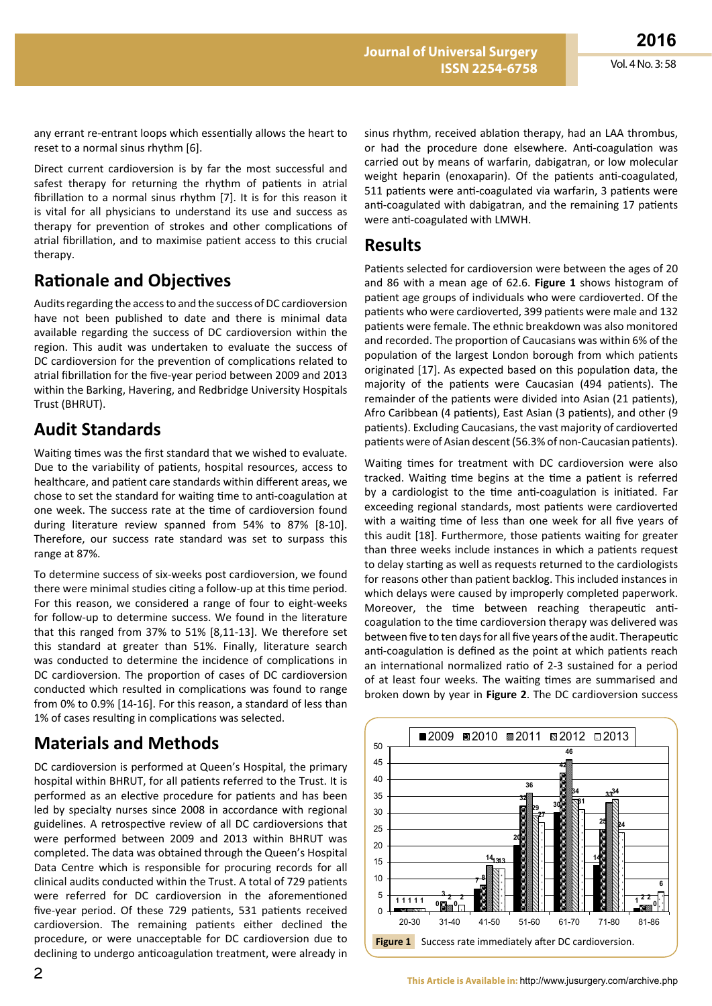any errant re-entrant loops which essentially allows the heart to reset to a normal sinus rhythm [6].

Direct current cardioversion is by far the most successful and safest therapy for returning the rhythm of patients in atrial fibrillation to a normal sinus rhythm [7]. It is for this reason it is vital for all physicians to understand its use and success as therapy for prevention of strokes and other complications of atrial fibrillation, and to maximise patient access to this crucial therapy.

## **Rationale and Objectives**

Audits regarding the access to and the success of DC cardioversion have not been published to date and there is minimal data available regarding the success of DC cardioversion within the region. This audit was undertaken to evaluate the success of DC cardioversion for the prevention of complications related to atrial fibrillation for the five-year period between 2009 and 2013 within the Barking, Havering, and Redbridge University Hospitals Trust (BHRUT).

## **Audit Standards**

Waiting times was the first standard that we wished to evaluate. Due to the variability of patients, hospital resources, access to healthcare, and patient care standards within different areas, we chose to set the standard for waiting time to anti-coagulation at one week. The success rate at the time of cardioversion found during literature review spanned from 54% to 87% [8-10]. Therefore, our success rate standard was set to surpass this range at 87%.

To determine success of six-weeks post cardioversion, we found there were minimal studies citing a follow-up at this time period. For this reason, we considered a range of four to eight-weeks for follow-up to determine success. We found in the literature that this ranged from 37% to 51% [8,11-13]. We therefore set this standard at greater than 51%. Finally, literature search was conducted to determine the incidence of complications in DC cardioversion. The proportion of cases of DC cardioversion conducted which resulted in complications was found to range from 0% to 0.9% [14-16]. For this reason, a standard of less than 1% of cases resulting in complications was selected.

## **Materials and Methods**

DC cardioversion is performed at Queen's Hospital, the primary hospital within BHRUT, for all patients referred to the Trust. It is performed as an elective procedure for patients and has been led by specialty nurses since 2008 in accordance with regional guidelines. A retrospective review of all DC cardioversions that were performed between 2009 and 2013 within BHRUT was completed. The data was obtained through the Queen's Hospital Data Centre which is responsible for procuring records for all clinical audits conducted within the Trust. A total of 729 patients were referred for DC cardioversion in the aforementioned five-year period. Of these 729 patients, 531 patients received cardioversion. The remaining patients either declined the procedure, or were unacceptable for DC cardioversion due to declining to undergo anticoagulation treatment, were already in

sinus rhythm, received ablation therapy, had an LAA thrombus, or had the procedure done elsewhere. Anti-coagulation was carried out by means of warfarin, dabigatran, or low molecular weight heparin (enoxaparin). Of the patients anti-coagulated, 511 patients were anti-coagulated via warfarin, 3 patients were anti-coagulated with dabigatran, and the remaining 17 patients were anti-coagulated with LMWH.

#### **Results**

Patients selected for cardioversion were between the ages of 20 and 86 with a mean age of 62.6. **Figure 1** shows histogram of patient age groups of individuals who were cardioverted. Of the patients who were cardioverted, 399 patients were male and 132 patients were female. The ethnic breakdown was also monitored and recorded. The proportion of Caucasians was within 6% of the population of the largest London borough from which patients originated [17]. As expected based on this population data, the majority of the patients were Caucasian (494 patients). The remainder of the patients were divided into Asian (21 patients), Afro Caribbean (4 patients), East Asian (3 patients), and other (9 patients). Excluding Caucasians, the vast majority of cardioverted patients were of Asian descent (56.3% of non-Caucasian patients).

Waiting times for treatment with DC cardioversion were also tracked. Waiting time begins at the time a patient is referred by a cardiologist to the time anti-coagulation is initiated. Far exceeding regional standards, most patients were cardioverted with a waiting time of less than one week for all five years of this audit [18]. Furthermore, those patients waiting for greater than three weeks include instances in which a patients request to delay starting as well as requests returned to the cardiologists for reasons other than patient backlog. This included instances in which delays were caused by improperly completed paperwork. Moreover, the time between reaching therapeutic anticoagulation to the time cardioversion therapy was delivered was between five to ten days for all five years of the audit. Therapeutic anti-coagulation is defined as the point at which patients reach an international normalized ratio of 2-3 sustained for a period of at least four weeks. The waiting times are summarised and broken down by year in **Figure 2**. The DC cardioversion success

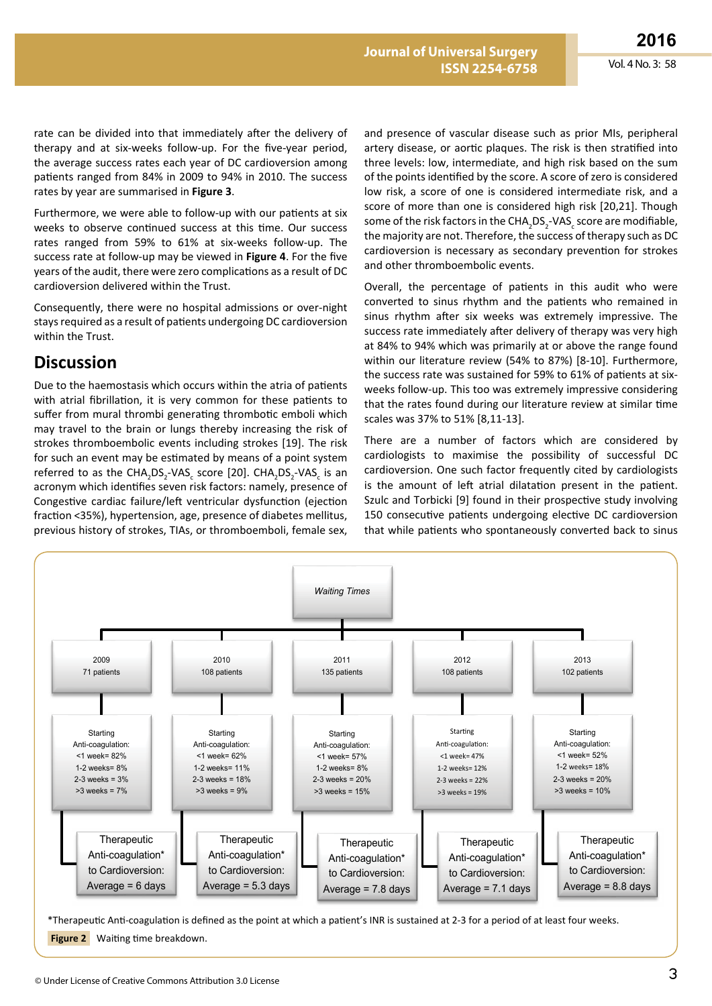rate can be divided into that immediately after the delivery of therapy and at six-weeks follow-up. For the five-year period, the average success rates each year of DC cardioversion among patients ranged from 84% in 2009 to 94% in 2010. The success rates by year are summarised in **Figure 3**.

Furthermore, we were able to follow-up with our patients at six weeks to observe continued success at this time. Our success rates ranged from 59% to 61% at six-weeks follow-up. The success rate at follow-up may be viewed in **Figure 4**. For the five years of the audit, there were zero complications as a result of DC cardioversion delivered within the Trust.

Consequently, there were no hospital admissions or over-night stays required as a result of patients undergoing DC cardioversion within the Trust.

### **Discussion**

Due to the haemostasis which occurs within the atria of patients with atrial fibrillation, it is very common for these patients to suffer from mural thrombi generating thrombotic emboli which may travel to the brain or lungs thereby increasing the risk of strokes thromboembolic events including strokes [19]. The risk for such an event may be estimated by means of a point system referred to as the CHA<sub>2</sub>DS<sub>2</sub>-VAS<sub>c</sub> score [20]. CHA<sub>2</sub>DS<sub>2</sub>-VAS<sub>c</sub> is an acronym which identifies seven risk factors: namely, presence of Congestive cardiac failure/left ventricular dysfunction (ejection fraction <35%), hypertension, age, presence of diabetes mellitus, previous history of strokes, TIAs, or thromboemboli, female sex,

and presence of vascular disease such as prior MIs, peripheral artery disease, or aortic plaques. The risk is then stratified into three levels: low, intermediate, and high risk based on the sum of the points identified by the score. A score of zero is considered low risk, a score of one is considered intermediate risk, and a score of more than one is considered high risk [20,21]. Though some of the risk factors in the  $\text{CHA}_2\text{DS}_2\text{-VAS}_c$  score are modifiable, the majority are not. Therefore, the success of therapy such as DC cardioversion is necessary as secondary prevention for strokes and other thromboembolic events.

Overall, the percentage of patients in this audit who were converted to sinus rhythm and the patients who remained in sinus rhythm after six weeks was extremely impressive. The success rate immediately after delivery of therapy was very high at 84% to 94% which was primarily at or above the range found within our literature review (54% to 87%) [8-10]. Furthermore, the success rate was sustained for 59% to 61% of patients at sixweeks follow-up. This too was extremely impressive considering that the rates found during our literature review at similar time scales was 37% to 51% [8,11-13].

There are a number of factors which are considered by cardiologists to maximise the possibility of successful DC cardioversion. One such factor frequently cited by cardiologists is the amount of left atrial dilatation present in the patient. Szulc and Torbicki [9] found in their prospective study involving 150 consecutive patients undergoing elective DC cardioversion that while patients who spontaneously converted back to sinus



**Figure 2** Waiting time breakdown.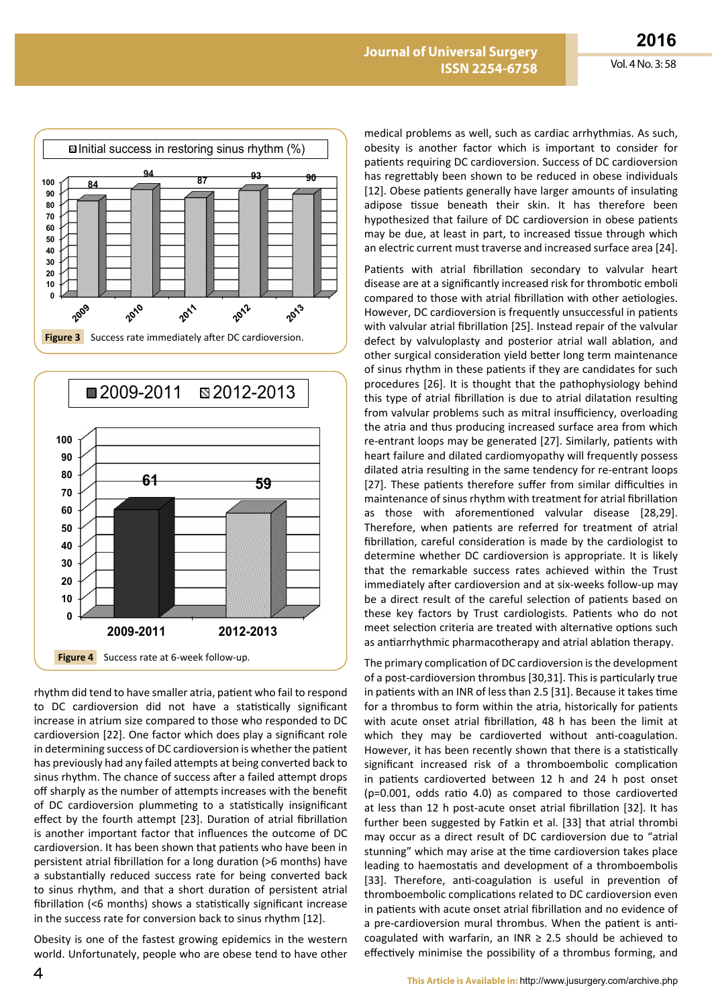



rhythm did tend to have smaller atria, patient who fail to respond to DC cardioversion did not have a statistically significant increase in atrium size compared to those who responded to DC cardioversion [22]. One factor which does play a significant role in determining success of DC cardioversion is whether the patient has previously had any failed attempts at being converted back to sinus rhythm. The chance of success after a failed attempt drops off sharply as the number of attempts increases with the benefit of DC cardioversion plummeting to a statistically insignificant effect by the fourth attempt [23]. Duration of atrial fibrillation is another important factor that influences the outcome of DC cardioversion. It has been shown that patients who have been in persistent atrial fibrillation for a long duration (>6 months) have a substantially reduced success rate for being converted back to sinus rhythm, and that a short duration of persistent atrial fibrillation (<6 months) shows a statistically significant increase in the success rate for conversion back to sinus rhythm [12].

Obesity is one of the fastest growing epidemics in the western world. Unfortunately, people who are obese tend to have other medical problems as well, such as cardiac arrhythmias. As such, obesity is another factor which is important to consider for patients requiring DC cardioversion. Success of DC cardioversion has regrettably been shown to be reduced in obese individuals [12]. Obese patients generally have larger amounts of insulating adipose tissue beneath their skin. It has therefore been hypothesized that failure of DC cardioversion in obese patients may be due, at least in part, to increased tissue through which an electric current must traverse and increased surface area [24].

Patients with atrial fibrillation secondary to valvular heart disease are at a significantly increased risk for thrombotic emboli compared to those with atrial fibrillation with other aetiologies. However, DC cardioversion is frequently unsuccessful in patients with valvular atrial fibrillation [25]. Instead repair of the valvular defect by valvuloplasty and posterior atrial wall ablation, and other surgical consideration yield better long term maintenance of sinus rhythm in these patients if they are candidates for such procedures [26]. It is thought that the pathophysiology behind this type of atrial fibrillation is due to atrial dilatation resulting from valvular problems such as mitral insufficiency, overloading the atria and thus producing increased surface area from which re-entrant loops may be generated [27]. Similarly, patients with heart failure and dilated cardiomyopathy will frequently possess dilated atria resulting in the same tendency for re-entrant loops [27]. These patients therefore suffer from similar difficulties in maintenance of sinus rhythm with treatment for atrial fibrillation as those with aforementioned valvular disease [28,29]. Therefore, when patients are referred for treatment of atrial fibrillation, careful consideration is made by the cardiologist to determine whether DC cardioversion is appropriate. It is likely that the remarkable success rates achieved within the Trust immediately after cardioversion and at six-weeks follow-up may be a direct result of the careful selection of patients based on these key factors by Trust cardiologists. Patients who do not meet selection criteria are treated with alternative options such as antiarrhythmic pharmacotherapy and atrial ablation therapy.

The primary complication of DC cardioversion is the development of a post-cardioversion thrombus [30,31]. This is particularly true in patients with an INR of less than 2.5 [31]. Because it takes time for a thrombus to form within the atria, historically for patients with acute onset atrial fibrillation, 48 h has been the limit at which they may be cardioverted without anti-coagulation. However, it has been recently shown that there is a statistically significant increased risk of a thromboembolic complication in patients cardioverted between 12 h and 24 h post onset (p=0.001, odds ratio 4.0) as compared to those cardioverted at less than 12 h post-acute onset atrial fibrillation [32]. It has further been suggested by Fatkin et al. [33] that atrial thrombi may occur as a direct result of DC cardioversion due to "atrial stunning" which may arise at the time cardioversion takes place leading to haemostatis and development of a thromboembolis [33]. Therefore, anti-coagulation is useful in prevention of thromboembolic complications related to DC cardioversion even in patients with acute onset atrial fibrillation and no evidence of a pre-cardioversion mural thrombus. When the patient is anticoagulated with warfarin, an INR  $\geq$  2.5 should be achieved to effectively minimise the possibility of a thrombus forming, and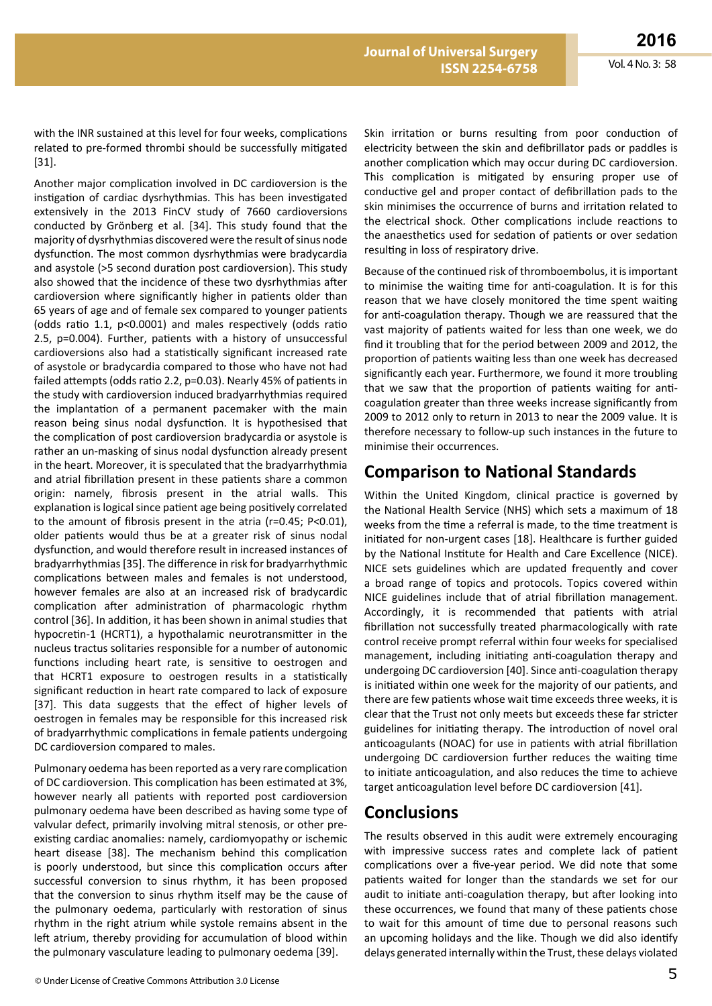with the INR sustained at this level for four weeks, complications related to pre-formed thrombi should be successfully mitigated [31].

Another major complication involved in DC cardioversion is the instigation of cardiac dysrhythmias. This has been investigated extensively in the 2013 FinCV study of 7660 cardioversions conducted by Grönberg et al. [34]. This study found that the majority of dysrhythmias discovered were the result of sinus node dysfunction. The most common dysrhythmias were bradycardia and asystole (>5 second duration post cardioversion). This study also showed that the incidence of these two dysrhythmias after cardioversion where significantly higher in patients older than 65 years of age and of female sex compared to younger patients (odds ratio 1.1, p<0.0001) and males respectively (odds ratio 2.5, p=0.004). Further, patients with a history of unsuccessful cardioversions also had a statistically significant increased rate of asystole or bradycardia compared to those who have not had failed attempts (odds ratio 2.2, p=0.03). Nearly 45% of patients in the study with cardioversion induced bradyarrhythmias required the implantation of a permanent pacemaker with the main reason being sinus nodal dysfunction. It is hypothesised that the complication of post cardioversion bradycardia or asystole is rather an un-masking of sinus nodal dysfunction already present in the heart. Moreover, it is speculated that the bradyarrhythmia and atrial fibrillation present in these patients share a common origin: namely, fibrosis present in the atrial walls. This explanation is logical since patient age being positively correlated to the amount of fibrosis present in the atria (r=0.45; P<0.01), older patients would thus be at a greater risk of sinus nodal dysfunction, and would therefore result in increased instances of bradyarrhythmias [35]. The difference in risk for bradyarrhythmic complications between males and females is not understood, however females are also at an increased risk of bradycardic complication after administration of pharmacologic rhythm control [36]. In addition, it has been shown in animal studies that hypocretin-1 (HCRT1), a hypothalamic neurotransmitter in the nucleus tractus solitaries responsible for a number of autonomic functions including heart rate, is sensitive to oestrogen and that HCRT1 exposure to oestrogen results in a statistically significant reduction in heart rate compared to lack of exposure [37]. This data suggests that the effect of higher levels of oestrogen in females may be responsible for this increased risk of bradyarrhythmic complications in female patients undergoing DC cardioversion compared to males.

Pulmonary oedema has been reported as a very rare complication of DC cardioversion. This complication has been estimated at 3%, however nearly all patients with reported post cardioversion pulmonary oedema have been described as having some type of valvular defect, primarily involving mitral stenosis, or other preexisting cardiac anomalies: namely, cardiomyopathy or ischemic heart disease [38]. The mechanism behind this complication is poorly understood, but since this complication occurs after successful conversion to sinus rhythm, it has been proposed that the conversion to sinus rhythm itself may be the cause of the pulmonary oedema, particularly with restoration of sinus rhythm in the right atrium while systole remains absent in the left atrium, thereby providing for accumulation of blood within the pulmonary vasculature leading to pulmonary oedema [39].

Skin irritation or burns resulting from poor conduction of electricity between the skin and defibrillator pads or paddles is another complication which may occur during DC cardioversion. This complication is mitigated by ensuring proper use of conductive gel and proper contact of defibrillation pads to the skin minimises the occurrence of burns and irritation related to the electrical shock. Other complications include reactions to the anaesthetics used for sedation of patients or over sedation resulting in loss of respiratory drive.

Because of the continued risk of thromboembolus, it is important to minimise the waiting time for anti-coagulation. It is for this reason that we have closely monitored the time spent waiting for anti-coagulation therapy. Though we are reassured that the vast majority of patients waited for less than one week, we do find it troubling that for the period between 2009 and 2012, the proportion of patients waiting less than one week has decreased significantly each year. Furthermore, we found it more troubling that we saw that the proportion of patients waiting for anticoagulation greater than three weeks increase significantly from 2009 to 2012 only to return in 2013 to near the 2009 value. It is therefore necessary to follow-up such instances in the future to minimise their occurrences.

### **Comparison to National Standards**

Within the United Kingdom, clinical practice is governed by the National Health Service (NHS) which sets a maximum of 18 weeks from the time a referral is made, to the time treatment is initiated for non-urgent cases [18]. Healthcare is further guided by the National Institute for Health and Care Excellence (NICE). NICE sets guidelines which are updated frequently and cover a broad range of topics and protocols. Topics covered within NICE guidelines include that of atrial fibrillation management. Accordingly, it is recommended that patients with atrial fibrillation not successfully treated pharmacologically with rate control receive prompt referral within four weeks for specialised management, including initiating anti-coagulation therapy and undergoing DC cardioversion [40]. Since anti-coagulation therapy is initiated within one week for the majority of our patients, and there are few patients whose wait time exceeds three weeks, it is clear that the Trust not only meets but exceeds these far stricter guidelines for initiating therapy. The introduction of novel oral anticoagulants (NOAC) for use in patients with atrial fibrillation undergoing DC cardioversion further reduces the waiting time to initiate anticoagulation, and also reduces the time to achieve target anticoagulation level before DC cardioversion [41].

#### **Conclusions**

The results observed in this audit were extremely encouraging with impressive success rates and complete lack of patient complications over a five-year period. We did note that some patients waited for longer than the standards we set for our audit to initiate anti-coagulation therapy, but after looking into these occurrences, we found that many of these patients chose to wait for this amount of time due to personal reasons such an upcoming holidays and the like. Though we did also identify delays generated internally within the Trust, these delays violated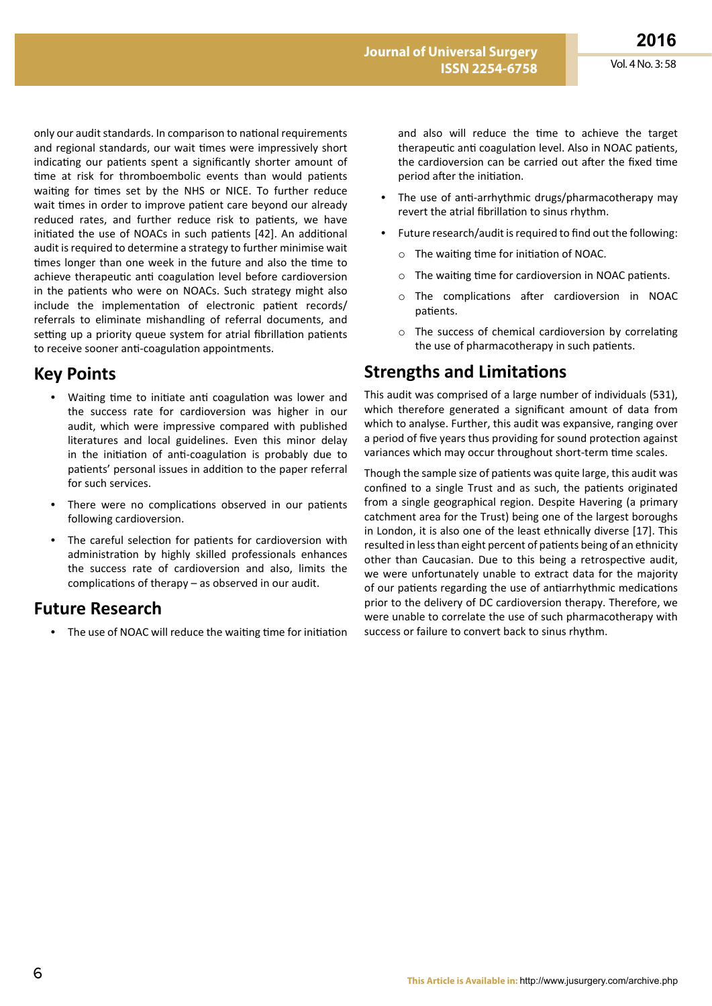only our audit standards. In comparison to national requirements and regional standards, our wait times were impressively short indicating our patients spent a significantly shorter amount of time at risk for thromboembolic events than would patients waiting for times set by the NHS or NICE. To further reduce wait times in order to improve patient care beyond our already reduced rates, and further reduce risk to patients, we have initiated the use of NOACs in such patients [42]. An additional audit is required to determine a strategy to further minimise wait times longer than one week in the future and also the time to achieve therapeutic anti coagulation level before cardioversion in the patients who were on NOACs. Such strategy might also include the implementation of electronic patient records/ referrals to eliminate mishandling of referral documents, and setting up a priority queue system for atrial fibrillation patients to receive sooner anti-coagulation appointments.

### **Key Points**

- **•**  Waiting time to initiate anti coagulation was lower and the success rate for cardioversion was higher in our audit, which were impressive compared with published literatures and local guidelines. Even this minor delay in the initiation of anti-coagulation is probably due to patients' personal issues in addition to the paper referral for such services.
- There were no complications observed in our patients following cardioversion.
- **•**  The careful selection for patients for cardioversion with administration by highly skilled professionals enhances the success rate of cardioversion and also, limits the complications of therapy – as observed in our audit.

### **Future Research**

**•**  The use of NOAC will reduce the waiting time for initiation

and also will reduce the time to achieve the target therapeutic anti coagulation level. Also in NOAC patients, the cardioversion can be carried out after the fixed time period after the initiation.

- The use of anti-arrhythmic drugs/pharmacotherapy may revert the atrial fibrillation to sinus rhythm.
- **•**  Future research/audit is required to find out the following:
	- o The waiting time for initiation of NOAC.
	- o The waiting time for cardioversion in NOAC patients.
	- o The complications after cardioversion in NOAC patients.
	- o The success of chemical cardioversion by correlating the use of pharmacotherapy in such patients.

## **Strengths and Limitations**

This audit was comprised of a large number of individuals (531), which therefore generated a significant amount of data from which to analyse. Further, this audit was expansive, ranging over a period of five years thus providing for sound protection against variances which may occur throughout short-term time scales.

Though the sample size of patients was quite large, this audit was confined to a single Trust and as such, the patients originated from a single geographical region. Despite Havering (a primary catchment area for the Trust) being one of the largest boroughs in London, it is also one of the least ethnically diverse [17]. This resulted in less than eight percent of patients being of an ethnicity other than Caucasian. Due to this being a retrospective audit, we were unfortunately unable to extract data for the majority of our patients regarding the use of antiarrhythmic medications prior to the delivery of DC cardioversion therapy. Therefore, we were unable to correlate the use of such pharmacotherapy with success or failure to convert back to sinus rhythm.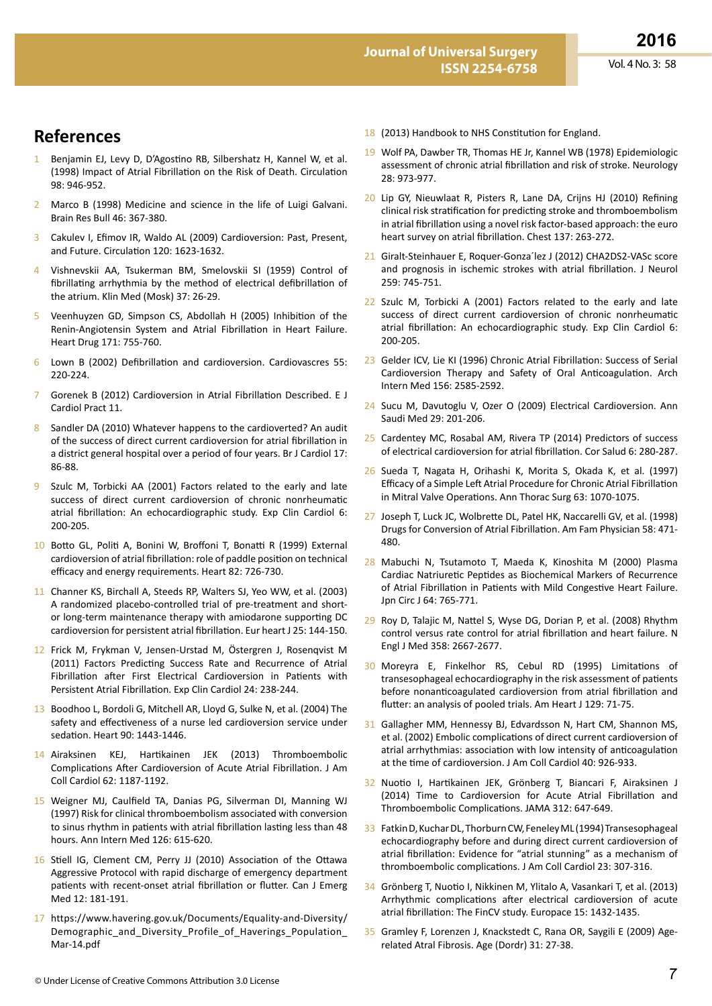## **References**

- 1 Benjamin EJ, Levy D, D'Agostino RB, Silbershatz H, Kannel W, et al. (1998) Impact of Atrial Fibrillation on the Risk of Death. Circulation 98: 946-952.
- 2 Marco B (1998) Medicine and science in the life of Luigi Galvani. Brain Res Bull 46: 367-380.
- 3 Cakulev I, Efimov IR, Waldo AL (2009) Cardioversion: Past, Present, and Future. Circulation 120: 1623-1632.
- 4 Vishnevskii AA, Tsukerman BM, Smelovskii SI (1959) Control of fibrillating arrhythmia by the method of electrical defibrillation of the atrium. Klin Med (Mosk) 37: 26-29.
- 5 Veenhuyzen GD, Simpson CS, Abdollah H (2005) Inhibition of the Renin-Angiotensin System and Atrial Fibrillation in Heart Failure. Heart Drug 171: 755-760.
- 6 Lown B (2002) Defibrillation and cardioversion. Cardiovascres 55: 220-224.
- 7 Gorenek B (2012) Cardioversion in Atrial Fibrillation Described. E J Cardiol Pract 11.
- 8 Sandler DA (2010) Whatever happens to the cardioverted? An audit of the success of direct current cardioversion for atrial fibrillation in a district general hospital over a period of four years. Br J Cardiol 17: 86-88.
- Szulc M, Torbicki AA (2001) Factors related to the early and late success of direct current cardioversion of chronic nonrheumatic atrial fibrillation: An echocardiographic study. Exp Clin Cardiol 6: 200-205.
- 10 Botto GL, Politi A, Bonini W, Broffoni T, Bonatti R (1999) External cardioversion of atrial fibrillation: role of paddle position on technical efficacy and energy requirements. Heart 82: 726-730.
- 11 Channer KS, Birchall A, Steeds RP, Walters SJ, Yeo WW, et al. (2003) A randomized placebo-controlled trial of pre-treatment and shortor long-term maintenance therapy with amiodarone supporting DC cardioversion for persistent atrial fibrillation. Eur heart J 25: 144-150.
- 12 Frick M, Frykman V, Jensen-Urstad M, Östergren J, Rosenqvist M (2011) Factors Predicting Success Rate and Recurrence of Atrial Fibrillation after First Electrical Cardioversion in Patients with Persistent Atrial Fibrillation. Exp Clin Cardiol 24: 238-244.
- 13 Boodhoo L, Bordoli G, Mitchell AR, Lloyd G, Sulke N, et al. (2004) The safety and effectiveness of a nurse led cardioversion service under sedation. Heart 90: 1443-1446.
- 14 Airaksinen KEJ, Hartikainen JEK (2013) Thromboembolic Complications After Cardioversion of Acute Atrial Fibrillation. J Am Coll Cardiol 62: 1187-1192.
- 15 Weigner MJ, Caulfield TA, Danias PG, Silverman DI, Manning WJ (1997) Risk for clinical thromboembolism associated with conversion to sinus rhythm in patients with atrial fibrillation lasting less than 48 hours. Ann Intern Med 126: 615-620.
- 16 Stiell IG, Clement CM, Perry JJ (2010) Association of the Ottawa Aggressive Protocol with rapid discharge of emergency department patients with recent-onset atrial fibrillation or flutter. Can J Emerg Med 12: 181-191.
- 17 https://www.havering.gov.uk/Documents/Equality-and-Diversity/ Demographic and Diversity Profile of Haverings Population Mar-14.pdf
- 18 (2013) Handbook to NHS Constitution for England.
- 19 Wolf PA, Dawber TR, Thomas HE Jr, Kannel WB (1978) Epidemiologic assessment of chronic atrial fibrillation and risk of stroke. Neurology 28: 973-977.
- 20 Lip GY, Nieuwlaat R, Pisters R, Lane DA, Crijns HJ (2010) Refining clinical risk stratification for predicting stroke and thromboembolism in atrial fibrillation using a novel risk factor-based approach: the euro heart survey on atrial fibrillation. Chest 137: 263-272.
- 21 Giralt-Steinhauer E, Roquer-Gonza´lez J (2012) CHA2DS2-VASc score and prognosis in ischemic strokes with atrial fibrillation. J Neurol 259: 745-751.
- 22 Szulc M, Torbicki A (2001) Factors related to the early and late success of direct current cardioversion of chronic nonrheumatic atrial fibrillation: An echocardiographic study. Exp Clin Cardiol 6: 200-205.
- 23 Gelder ICV, Lie KI (1996) Chronic Atrial Fibrillation: Success of Serial Cardioversion Therapy and Safety of Oral Anticoagulation. Arch Intern Med 156: 2585-2592.
- 24 Sucu M, Davutoglu V, Ozer O (2009) Electrical Cardioversion. Ann Saudi Med 29: 201-206.
- 25 Cardentey MC, Rosabal AM, Rivera TP (2014) Predictors of success of electrical cardioversion for atrial fibrillation. Cor Salud 6: 280-287.
- 26 Sueda T, Nagata H, Orihashi K, Morita S, Okada K, et al. (1997) Efficacy of a Simple Left Atrial Procedure for Chronic Atrial Fibrillation in Mitral Valve Operations. Ann Thorac Surg 63: 1070-1075.
- 27 Joseph T, Luck JC, Wolbrette DL, Patel HK, Naccarelli GV, et al. (1998) Drugs for Conversion of Atrial Fibrillation. Am Fam Physician 58: 471- 480.
- 28 Mabuchi N, Tsutamoto T, Maeda K, Kinoshita M (2000) Plasma Cardiac Natriuretic Peptides as Biochemical Markers of Recurrence of Atrial Fibrillation in Patients with Mild Congestive Heart Failure. Jpn Circ J 64: 765-771.
- 29 Roy D, Talajic M, Nattel S, Wyse DG, Dorian P, et al. (2008) Rhythm control versus rate control for atrial fibrillation and heart failure. N Engl J Med 358: 2667-2677.
- 30 Moreyra E, Finkelhor RS, Cebul RD (1995) Limitations of transesophageal echocardiography in the risk assessment of patients before nonanticoagulated cardioversion from atrial fibrillation and flutter: an analysis of pooled trials. Am Heart J 129: 71-75.
- 31 Gallagher MM, Hennessy BJ, Edvardsson N, Hart CM, Shannon MS, et al. (2002) Embolic complications of direct current cardioversion of atrial arrhythmias: association with low intensity of anticoagulation at the time of cardioversion. J Am Coll Cardiol 40: 926-933.
- 32 Nuotio I, Hartikainen JEK, Grönberg T, Biancari F, Airaksinen J (2014) Time to Cardioversion for Acute Atrial Fibrillation and Thromboembolic Complications. JAMA 312: 647-649.
- 33 Fatkin D, Kuchar DL, Thorburn CW, Feneley ML (1994) Transesophageal echocardiography before and during direct current cardioversion of atrial fibrillation: Evidence for "atrial stunning" as a mechanism of thromboembolic complications. J Am Coll Cardiol 23: 307-316.
- 34 Grönberg T, Nuotio I, Nikkinen M, Ylitalo A, Vasankari T, et al. (2013) Arrhythmic complications after electrical cardioversion of acute atrial fibrillation: The FinCV study. Europace 15: 1432-1435.
- 35 Gramley F, Lorenzen J, Knackstedt C, Rana OR, Saygili E (2009) Agerelated Atral Fibrosis. Age (Dordr) 31: 27-38.